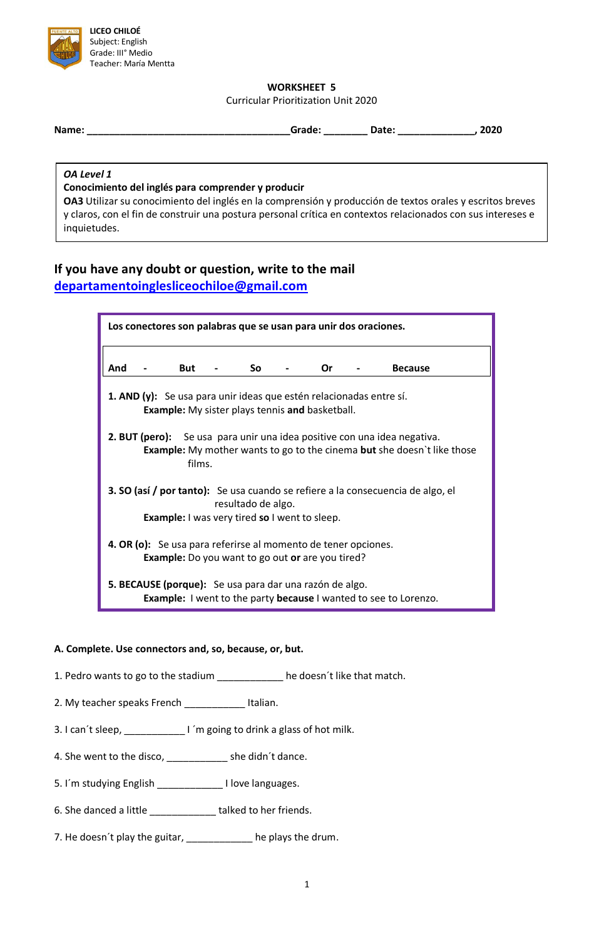

### **WORKSHEET 5**

Curricular Prioritization Unit 2020

| Name: | aue. | auc. | .020 |
|-------|------|------|------|
|       |      |      |      |

*OA Level 1*

### **Conocimiento del inglés para comprender y producir**

**OA3** Utilizar su conocimiento del inglés en la comprensión y producción de textos orales y escritos breves y claros, con el fin de construir una postura personal crítica en contextos relacionados con sus intereses e inquietudes.

# **If you have any doubt or question, write to the mail [departamentoinglesliceochiloe@gmail.com](mailto:departamentoinglesliceochiloe@gmail.com)**

| Los conectores son palabras que se usan para unir dos oraciones.                                                                                                                   |  |  |  |  |  |  |  |
|------------------------------------------------------------------------------------------------------------------------------------------------------------------------------------|--|--|--|--|--|--|--|
| And<br>So<br>But<br>Or<br><b>Because</b>                                                                                                                                           |  |  |  |  |  |  |  |
| <b>1. AND (y):</b> Se usa para unir ideas que estén relacionadas entre sí.<br><b>Example:</b> My sister plays tennis and basketball.                                               |  |  |  |  |  |  |  |
| <b>2. BUT (pero):</b> Se usa para unir una idea positive con una idea negativa.<br><b>Example:</b> My mother wants to go to the cinema <b>but</b> she doesn't like those<br>films. |  |  |  |  |  |  |  |
| 3. SO (así / por tanto): Se usa cuando se refiere a la consecuencia de algo, el<br>resultado de algo.<br><b>Example:</b> I was very tired so I went to sleep.                      |  |  |  |  |  |  |  |
| 4. OR (o): Se usa para referirse al momento de tener opciones.<br><b>Example:</b> Do you want to go out or are you tired?                                                          |  |  |  |  |  |  |  |
| 5. BECAUSE (porque): Se usa para dar una razón de algo.<br><b>Example:</b> I went to the party <b>because</b> I wanted to see to Lorenzo.                                          |  |  |  |  |  |  |  |

### **A. Complete. Use connectors and, so, because, or, but.**

- 1. Pedro wants to go to the stadium \_\_\_\_\_\_\_\_\_\_\_\_ he doesn´t like that match.
- 2. My teacher speaks French \_\_\_\_\_\_\_\_\_\_\_ Italian.
- 3. I can´t sleep, \_\_\_\_\_\_\_\_\_\_\_ I ´m going to drink a glass of hot milk.
- 4. She went to the disco, \_\_\_\_\_\_\_\_\_\_\_ she didn´t dance.
- 5. I´m studying English \_\_\_\_\_\_\_\_\_\_\_\_ I love languages.
- 6. She danced a little \_\_\_\_\_\_\_\_\_\_\_\_ talked to her friends.
- 7. He doesn't play the guitar, \_\_\_\_\_\_\_\_\_\_\_\_ he plays the drum.